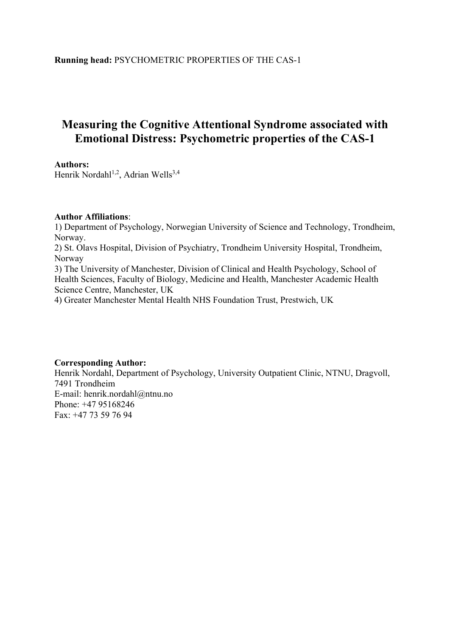# **Measuring the Cognitive Attentional Syndrome associated with Emotional Distress: Psychometric properties of the CAS-1**

# **Authors:**

Henrik Nordahl<sup>1,2</sup>, Adrian Wells<sup>3,4</sup>

# **Author Affiliations**:

1) Department of Psychology, Norwegian University of Science and Technology, Trondheim, Norway. 2) St. Olavs Hospital, Division of Psychiatry, Trondheim University Hospital, Trondheim, Norway 3) The University of Manchester, Division of Clinical and Health Psychology, School of Health Sciences, Faculty of Biology, Medicine and Health, Manchester Academic Health Science Centre, Manchester, UK 4) Greater Manchester Mental Health NHS Foundation Trust, Prestwich, UK

# **Corresponding Author:**

Henrik Nordahl, Department of Psychology, University Outpatient Clinic, NTNU, Dragvoll, 7491 Trondheim E-mail: henrik.nordahl@ntnu.no Phone: +47 95168246 Fax: +47 73 59 76 94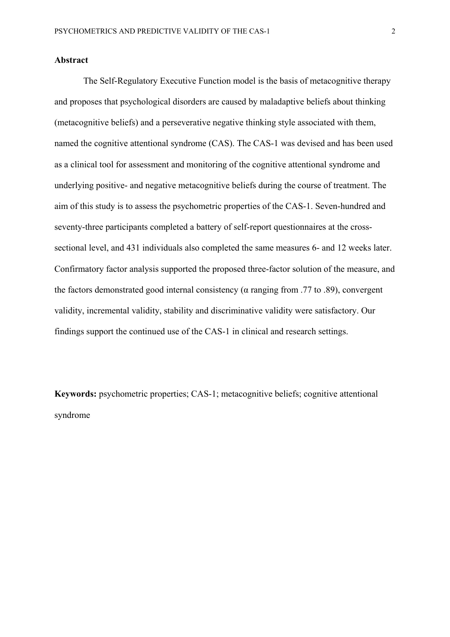# **Abstract**

The Self-Regulatory Executive Function model is the basis of metacognitive therapy and proposes that psychological disorders are caused by maladaptive beliefs about thinking (metacognitive beliefs) and a perseverative negative thinking style associated with them, named the cognitive attentional syndrome (CAS). The CAS-1 was devised and has been used as a clinical tool for assessment and monitoring of the cognitive attentional syndrome and underlying positive- and negative metacognitive beliefs during the course of treatment. The aim of this study is to assess the psychometric properties of the CAS-1. Seven-hundred and seventy-three participants completed a battery of self-report questionnaires at the crosssectional level, and 431 individuals also completed the same measures 6- and 12 weeks later. Confirmatory factor analysis supported the proposed three-factor solution of the measure, and the factors demonstrated good internal consistency ( $α$  ranging from .77 to .89), convergent validity, incremental validity, stability and discriminative validity were satisfactory. Our findings support the continued use of the CAS-1 in clinical and research settings.

**Keywords:** psychometric properties; CAS-1; metacognitive beliefs; cognitive attentional syndrome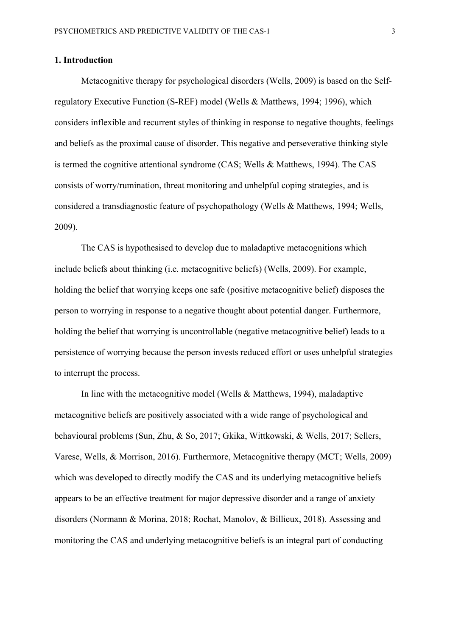# **1. Introduction**

Metacognitive therapy for psychological disorders (Wells, 2009) is based on the Selfregulatory Executive Function (S-REF) model (Wells & Matthews, 1994; 1996), which considers inflexible and recurrent styles of thinking in response to negative thoughts, feelings and beliefs as the proximal cause of disorder. This negative and perseverative thinking style is termed the cognitive attentional syndrome (CAS; Wells & Matthews, 1994). The CAS consists of worry/rumination, threat monitoring and unhelpful coping strategies, and is considered a transdiagnostic feature of psychopathology (Wells & Matthews, 1994; Wells, 2009).

The CAS is hypothesised to develop due to maladaptive metacognitions which include beliefs about thinking (i.e. metacognitive beliefs) (Wells, 2009). For example, holding the belief that worrying keeps one safe (positive metacognitive belief) disposes the person to worrying in response to a negative thought about potential danger. Furthermore, holding the belief that worrying is uncontrollable (negative metacognitive belief) leads to a persistence of worrying because the person invests reduced effort or uses unhelpful strategies to interrupt the process.

In line with the metacognitive model (Wells & Matthews, 1994), maladaptive metacognitive beliefs are positively associated with a wide range of psychological and behavioural problems (Sun, Zhu, & So, 2017; Gkika, Wittkowski, & Wells, 2017; Sellers, Varese, Wells, & Morrison, 2016). Furthermore, Metacognitive therapy (MCT; Wells, 2009) which was developed to directly modify the CAS and its underlying metacognitive beliefs appears to be an effective treatment for major depressive disorder and a range of anxiety disorders (Normann & Morina, 2018; Rochat, Manolov, & Billieux, 2018). Assessing and monitoring the CAS and underlying metacognitive beliefs is an integral part of conducting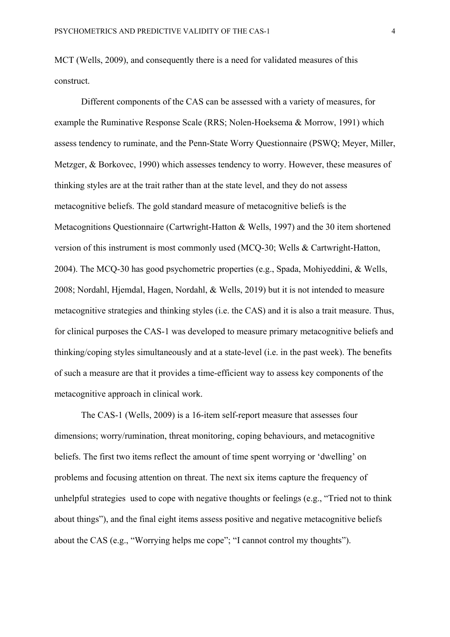MCT (Wells, 2009), and consequently there is a need for validated measures of this construct.

Different components of the CAS can be assessed with a variety of measures, for example the Ruminative Response Scale (RRS; Nolen-Hoeksema & Morrow, 1991) which assess tendency to ruminate, and the Penn-State Worry Questionnaire (PSWQ; Meyer, Miller, Metzger, & Borkovec, 1990) which assesses tendency to worry. However, these measures of thinking styles are at the trait rather than at the state level, and they do not assess metacognitive beliefs. The gold standard measure of metacognitive beliefs is the Metacognitions Questionnaire (Cartwright-Hatton & Wells, 1997) and the 30 item shortened version of this instrument is most commonly used (MCQ-30; Wells & Cartwright-Hatton, 2004). The MCQ-30 has good psychometric properties (e.g., Spada, Mohiyeddini, & Wells, 2008; Nordahl, Hjemdal, Hagen, Nordahl, & Wells, 2019) but it is not intended to measure metacognitive strategies and thinking styles (i.e. the CAS) and it is also a trait measure. Thus, for clinical purposes the CAS-1 was developed to measure primary metacognitive beliefs and thinking/coping styles simultaneously and at a state-level (i.e. in the past week). The benefits of such a measure are that it provides a time-efficient way to assess key components of the metacognitive approach in clinical work.

The CAS-1 (Wells, 2009) is a 16-item self-report measure that assesses four dimensions; worry/rumination, threat monitoring, coping behaviours, and metacognitive beliefs. The first two items reflect the amount of time spent worrying or 'dwelling' on problems and focusing attention on threat. The next six items capture the frequency of unhelpful strategies used to cope with negative thoughts or feelings (e.g., "Tried not to think about things"), and the final eight items assess positive and negative metacognitive beliefs about the CAS (e.g., "Worrying helps me cope"; "I cannot control my thoughts").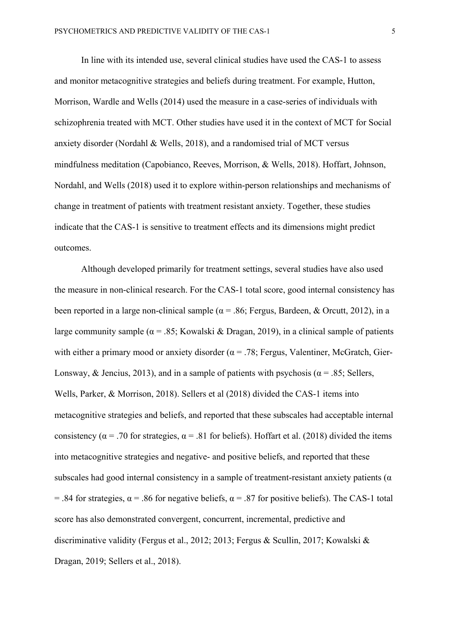In line with its intended use, several clinical studies have used the CAS-1 to assess and monitor metacognitive strategies and beliefs during treatment. For example, Hutton, Morrison, Wardle and Wells (2014) used the measure in a case-series of individuals with schizophrenia treated with MCT. Other studies have used it in the context of MCT for Social anxiety disorder (Nordahl & Wells, 2018), and a randomised trial of MCT versus mindfulness meditation (Capobianco, Reeves, Morrison, & Wells, 2018). Hoffart, Johnson, Nordahl, and Wells (2018) used it to explore within-person relationships and mechanisms of change in treatment of patients with treatment resistant anxiety. Together, these studies indicate that the CAS-1 is sensitive to treatment effects and its dimensions might predict outcomes.

Although developed primarily for treatment settings, several studies have also used the measure in non-clinical research. For the CAS-1 total score, good internal consistency has been reported in a large non-clinical sample ( $\alpha$  = .86; Fergus, Bardeen, & Orcutt, 2012), in a large community sample ( $\alpha$  = .85; Kowalski & Dragan, 2019), in a clinical sample of patients with either a primary mood or anxiety disorder ( $\alpha$  = .78; Fergus, Valentiner, McGratch, Gier-Lonsway, & Jencius, 2013), and in a sample of patients with psychosis ( $\alpha$  = .85; Sellers, Wells, Parker, & Morrison, 2018). Sellers et al (2018) divided the CAS-1 items into metacognitive strategies and beliefs, and reported that these subscales had acceptable internal consistency ( $\alpha$  = .70 for strategies,  $\alpha$  = .81 for beliefs). Hoffart et al. (2018) divided the items into metacognitive strategies and negative- and positive beliefs, and reported that these subscales had good internal consistency in a sample of treatment-resistant anxiety patients ( $\alpha$ ) = .84 for strategies,  $\alpha$  = .86 for negative beliefs,  $\alpha$  = .87 for positive beliefs). The CAS-1 total score has also demonstrated convergent, concurrent, incremental, predictive and discriminative validity (Fergus et al., 2012; 2013; Fergus & Scullin, 2017; Kowalski & Dragan, 2019; Sellers et al., 2018).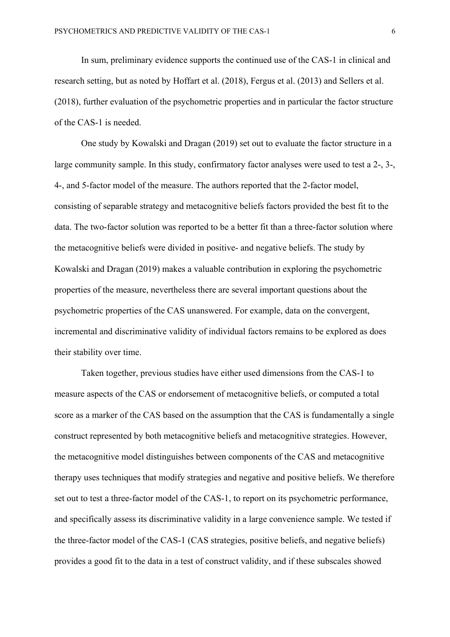In sum, preliminary evidence supports the continued use of the CAS-1 in clinical and research setting, but as noted by Hoffart et al. (2018), Fergus et al. (2013) and Sellers et al. (2018), further evaluation of the psychometric properties and in particular the factor structure of the CAS-1 is needed.

One study by Kowalski and Dragan (2019) set out to evaluate the factor structure in a large community sample. In this study, confirmatory factor analyses were used to test a 2-, 3-, 4-, and 5-factor model of the measure. The authors reported that the 2-factor model, consisting of separable strategy and metacognitive beliefs factors provided the best fit to the data. The two-factor solution was reported to be a better fit than a three-factor solution where the metacognitive beliefs were divided in positive- and negative beliefs. The study by Kowalski and Dragan (2019) makes a valuable contribution in exploring the psychometric properties of the measure, nevertheless there are several important questions about the psychometric properties of the CAS unanswered. For example, data on the convergent, incremental and discriminative validity of individual factors remains to be explored as does their stability over time.

Taken together, previous studies have either used dimensions from the CAS-1 to measure aspects of the CAS or endorsement of metacognitive beliefs, or computed a total score as a marker of the CAS based on the assumption that the CAS is fundamentally a single construct represented by both metacognitive beliefs and metacognitive strategies. However, the metacognitive model distinguishes between components of the CAS and metacognitive therapy uses techniques that modify strategies and negative and positive beliefs. We therefore set out to test a three-factor model of the CAS-1, to report on its psychometric performance, and specifically assess its discriminative validity in a large convenience sample. We tested if the three-factor model of the CAS-1 (CAS strategies, positive beliefs, and negative beliefs) provides a good fit to the data in a test of construct validity, and if these subscales showed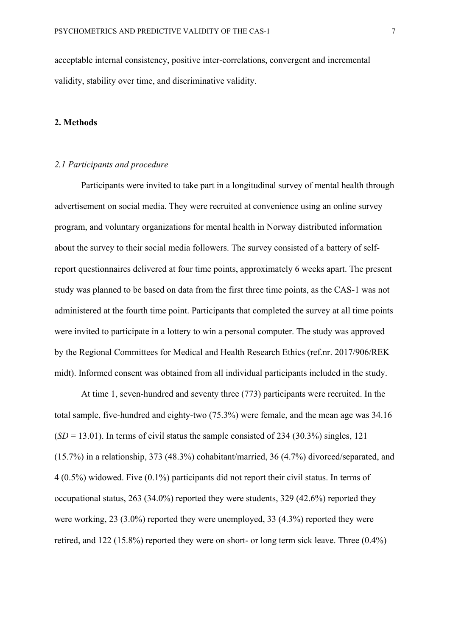acceptable internal consistency, positive inter-correlations, convergent and incremental validity, stability over time, and discriminative validity.

# **2. Methods**

# *2.1 Participants and procedure*

Participants were invited to take part in a longitudinal survey of mental health through advertisement on social media. They were recruited at convenience using an online survey program, and voluntary organizations for mental health in Norway distributed information about the survey to their social media followers. The survey consisted of a battery of selfreport questionnaires delivered at four time points, approximately 6 weeks apart. The present study was planned to be based on data from the first three time points, as the CAS-1 was not administered at the fourth time point. Participants that completed the survey at all time points were invited to participate in a lottery to win a personal computer. The study was approved by the Regional Committees for Medical and Health Research Ethics (ref.nr. 2017/906/REK midt). Informed consent was obtained from all individual participants included in the study.

At time 1, seven-hundred and seventy three (773) participants were recruited. In the total sample, five-hundred and eighty-two (75.3%) were female, and the mean age was 34.16  $(SD = 13.01)$ . In terms of civil status the sample consisted of 234 (30.3%) singles, 121 (15.7%) in a relationship, 373 (48.3%) cohabitant/married, 36 (4.7%) divorced/separated, and 4 (0.5%) widowed. Five (0.1%) participants did not report their civil status. In terms of occupational status, 263 (34.0%) reported they were students, 329 (42.6%) reported they were working, 23 (3.0%) reported they were unemployed, 33 (4.3%) reported they were retired, and 122 (15.8%) reported they were on short- or long term sick leave. Three (0.4%)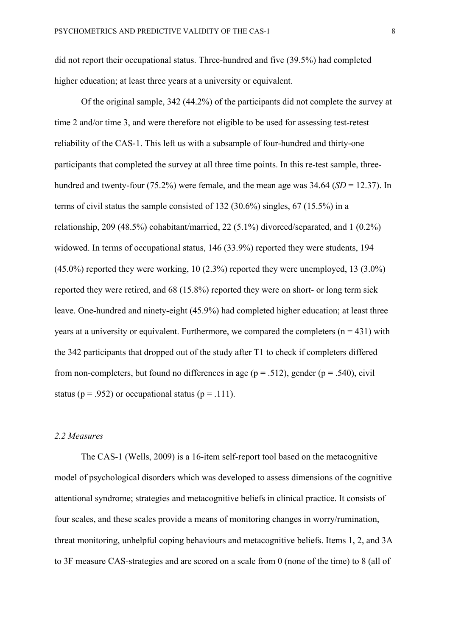did not report their occupational status. Three-hundred and five (39.5%) had completed higher education; at least three years at a university or equivalent.

Of the original sample, 342 (44.2%) of the participants did not complete the survey at time 2 and/or time 3, and were therefore not eligible to be used for assessing test-retest reliability of the CAS-1. This left us with a subsample of four-hundred and thirty-one participants that completed the survey at all three time points. In this re-test sample, threehundred and twenty-four (75.2%) were female, and the mean age was 34.64 (*SD* = 12.37). In terms of civil status the sample consisted of 132 (30.6%) singles, 67 (15.5%) in a relationship, 209 (48.5%) cohabitant/married, 22 (5.1%) divorced/separated, and 1 (0.2%) widowed. In terms of occupational status, 146 (33.9%) reported they were students, 194 (45.0%) reported they were working, 10 (2.3%) reported they were unemployed, 13 (3.0%) reported they were retired, and 68 (15.8%) reported they were on short- or long term sick leave. One-hundred and ninety-eight (45.9%) had completed higher education; at least three years at a university or equivalent. Furthermore, we compared the completers  $(n = 431)$  with the 342 participants that dropped out of the study after T1 to check if completers differed from non-completers, but found no differences in age ( $p = .512$ ), gender ( $p = .540$ ), civil status ( $p = .952$ ) or occupational status ( $p = .111$ ).

# *2.2 Measures*

The CAS-1 (Wells, 2009) is a 16-item self-report tool based on the metacognitive model of psychological disorders which was developed to assess dimensions of the cognitive attentional syndrome; strategies and metacognitive beliefs in clinical practice. It consists of four scales, and these scales provide a means of monitoring changes in worry/rumination, threat monitoring, unhelpful coping behaviours and metacognitive beliefs. Items 1, 2, and 3A to 3F measure CAS-strategies and are scored on a scale from 0 (none of the time) to 8 (all of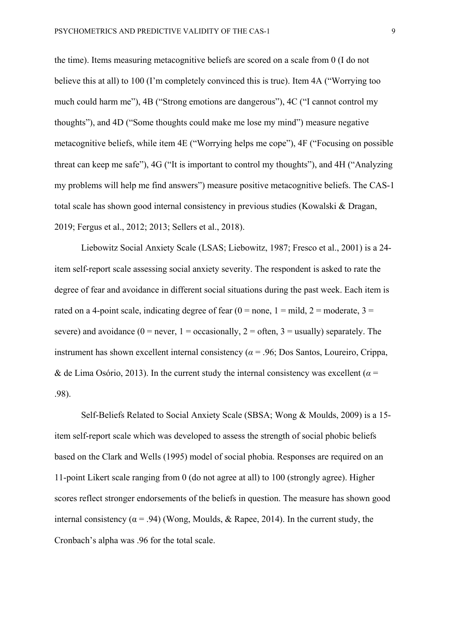the time). Items measuring metacognitive beliefs are scored on a scale from 0 (I do not believe this at all) to 100 (I'm completely convinced this is true). Item 4A ("Worrying too much could harm me"), 4B ("Strong emotions are dangerous"), 4C ("I cannot control my thoughts"), and 4D ("Some thoughts could make me lose my mind") measure negative metacognitive beliefs, while item 4E ("Worrying helps me cope"), 4F ("Focusing on possible threat can keep me safe"), 4G ("It is important to control my thoughts"), and 4H ("Analyzing my problems will help me find answers") measure positive metacognitive beliefs. The CAS-1 total scale has shown good internal consistency in previous studies (Kowalski & Dragan, 2019; Fergus et al., 2012; 2013; Sellers et al., 2018).

Liebowitz Social Anxiety Scale (LSAS; Liebowitz, 1987; Fresco et al., 2001) is a 24 item self-report scale assessing social anxiety severity. The respondent is asked to rate the degree of fear and avoidance in different social situations during the past week. Each item is rated on a 4-point scale, indicating degree of fear  $(0 = none, 1 = mild, 2 = moderate, 3 =$ severe) and avoidance ( $0 =$  never,  $1 =$  occasionally,  $2 =$  often,  $3 =$  usually) separately. The instrument has shown excellent internal consistency ( $\alpha$  = .96; Dos Santos, Loureiro, Crippa, & de Lima Osório, 2013). In the current study the internal consistency was excellent ( $\alpha$  = .98).

Self-Beliefs Related to Social Anxiety Scale (SBSA; Wong & Moulds, 2009) is a 15 item self-report scale which was developed to assess the strength of social phobic beliefs based on the Clark and Wells (1995) model of social phobia. Responses are required on an 11-point Likert scale ranging from 0 (do not agree at all) to 100 (strongly agree). Higher scores reflect stronger endorsements of the beliefs in question. The measure has shown good internal consistency ( $\alpha$  = .94) (Wong, Moulds, & Rapee, 2014). In the current study, the Cronbach's alpha was .96 for the total scale.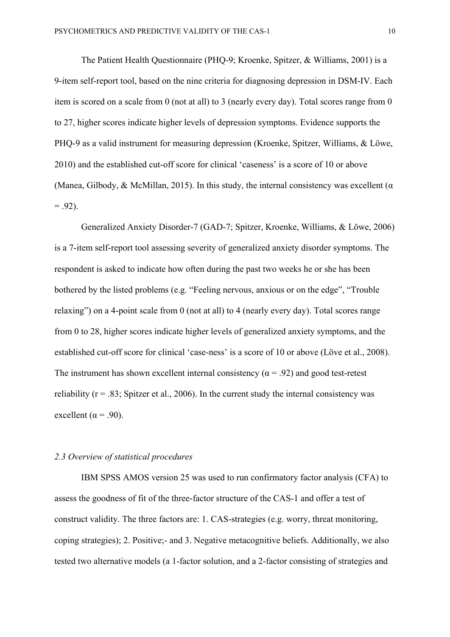The Patient Health Questionnaire (PHQ-9; Kroenke, Spitzer, & Williams, 2001) is a 9-item self-report tool, based on the nine criteria for diagnosing depression in DSM-IV. Each item is scored on a scale from 0 (not at all) to 3 (nearly every day). Total scores range from 0 to 27, higher scores indicate higher levels of depression symptoms. Evidence supports the PHQ-9 as a valid instrument for measuring depression (Kroenke, Spitzer, Williams, & Löwe, 2010) and the established cut-off score for clinical 'caseness' is a score of 10 or above (Manea, Gilbody, & McMillan, 2015). In this study, the internal consistency was excellent ( $\alpha$ )  $= .92$ ).

Generalized Anxiety Disorder-7 (GAD-7; Spitzer, Kroenke, Williams, & Löwe, 2006) is a 7-item self-report tool assessing severity of generalized anxiety disorder symptoms. The respondent is asked to indicate how often during the past two weeks he or she has been bothered by the listed problems (e.g. "Feeling nervous, anxious or on the edge", "Trouble relaxing") on a 4-point scale from 0 (not at all) to 4 (nearly every day). Total scores range from 0 to 28, higher scores indicate higher levels of generalized anxiety symptoms, and the established cut-off score for clinical 'case-ness' is a score of 10 or above (Löve et al., 2008). The instrument has shown excellent internal consistency ( $\alpha$  = .92) and good test-retest reliability ( $r = .83$ ; Spitzer et al., 2006). In the current study the internal consistency was excellent ( $\alpha$  = .90).

### *2.3 Overview of statistical procedures*

IBM SPSS AMOS version 25 was used to run confirmatory factor analysis (CFA) to assess the goodness of fit of the three-factor structure of the CAS-1 and offer a test of construct validity. The three factors are: 1. CAS-strategies (e.g. worry, threat monitoring, coping strategies); 2. Positive;- and 3. Negative metacognitive beliefs. Additionally, we also tested two alternative models (a 1-factor solution, and a 2-factor consisting of strategies and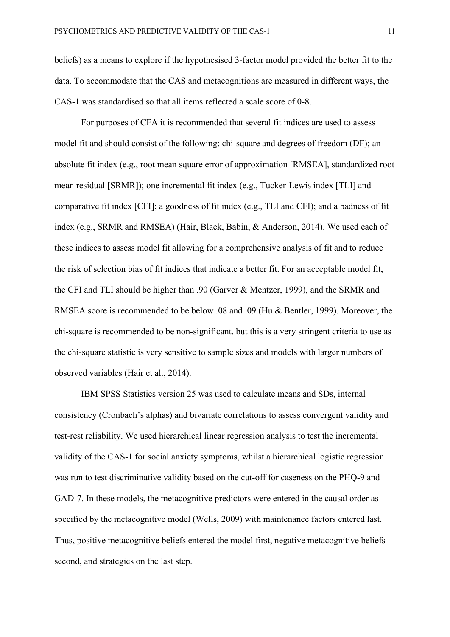beliefs) as a means to explore if the hypothesised 3-factor model provided the better fit to the data. To accommodate that the CAS and metacognitions are measured in different ways, the CAS-1 was standardised so that all items reflected a scale score of 0-8.

For purposes of CFA it is recommended that several fit indices are used to assess model fit and should consist of the following: chi-square and degrees of freedom (DF); an absolute fit index (e.g., root mean square error of approximation [RMSEA], standardized root mean residual [SRMR]); one incremental fit index (e.g., Tucker-Lewis index [TLI] and comparative fit index [CFI]; a goodness of fit index (e.g., TLI and CFI); and a badness of fit index (e.g., SRMR and RMSEA) (Hair, Black, Babin, & Anderson, 2014). We used each of these indices to assess model fit allowing for a comprehensive analysis of fit and to reduce the risk of selection bias of fit indices that indicate a better fit. For an acceptable model fit, the CFI and TLI should be higher than .90 (Garver & Mentzer, 1999), and the SRMR and RMSEA score is recommended to be below .08 and .09 (Hu & Bentler, 1999). Moreover, the chi-square is recommended to be non-significant, but this is a very stringent criteria to use as the chi-square statistic is very sensitive to sample sizes and models with larger numbers of observed variables (Hair et al., 2014).

IBM SPSS Statistics version 25 was used to calculate means and SDs, internal consistency (Cronbach's alphas) and bivariate correlations to assess convergent validity and test-rest reliability. We used hierarchical linear regression analysis to test the incremental validity of the CAS-1 for social anxiety symptoms, whilst a hierarchical logistic regression was run to test discriminative validity based on the cut-off for caseness on the PHQ-9 and GAD-7. In these models, the metacognitive predictors were entered in the causal order as specified by the metacognitive model (Wells, 2009) with maintenance factors entered last. Thus, positive metacognitive beliefs entered the model first, negative metacognitive beliefs second, and strategies on the last step.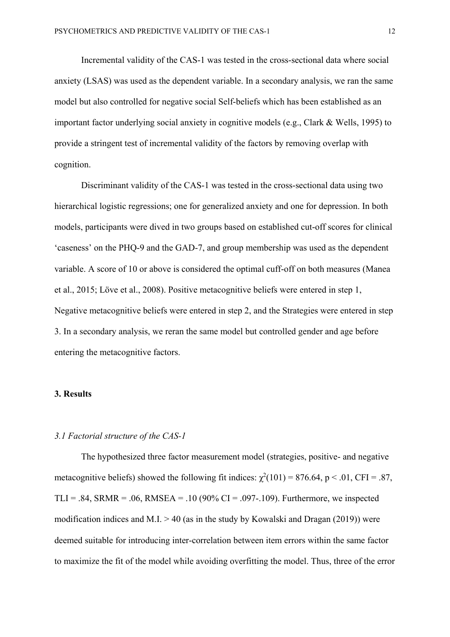Incremental validity of the CAS-1 was tested in the cross-sectional data where social anxiety (LSAS) was used as the dependent variable. In a secondary analysis, we ran the same model but also controlled for negative social Self-beliefs which has been established as an important factor underlying social anxiety in cognitive models (e.g., Clark & Wells, 1995) to provide a stringent test of incremental validity of the factors by removing overlap with cognition.

Discriminant validity of the CAS-1 was tested in the cross-sectional data using two hierarchical logistic regressions; one for generalized anxiety and one for depression. In both models, participants were dived in two groups based on established cut-off scores for clinical 'caseness' on the PHQ-9 and the GAD-7, and group membership was used as the dependent variable. A score of 10 or above is considered the optimal cuff-off on both measures (Manea et al., 2015; Löve et al., 2008). Positive metacognitive beliefs were entered in step 1, Negative metacognitive beliefs were entered in step 2, and the Strategies were entered in step 3. In a secondary analysis, we reran the same model but controlled gender and age before entering the metacognitive factors.

# **3. Results**

# *3.1 Factorial structure of the CAS-1*

The hypothesized three factor measurement model (strategies, positive- and negative metacognitive beliefs) showed the following fit indices:  $\chi^2(101) = 876.64$ , p < .01, CFI = .87, TLI = .84, SRMR = .06, RMSEA = .10 (90% CI = .097-.109). Furthermore, we inspected modification indices and M.I.  $> 40$  (as in the study by Kowalski and Dragan (2019)) were deemed suitable for introducing inter-correlation between item errors within the same factor to maximize the fit of the model while avoiding overfitting the model. Thus, three of the error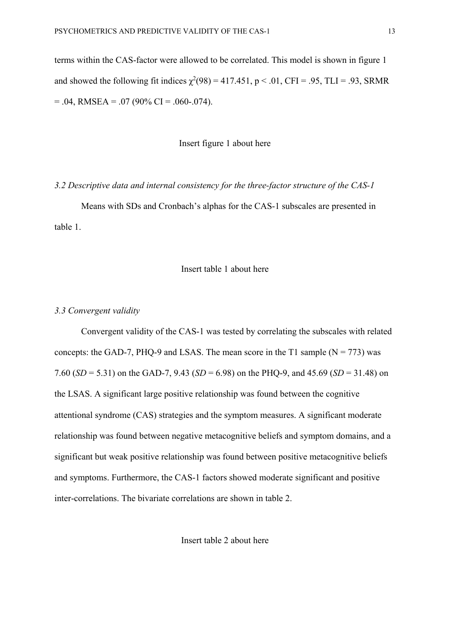terms within the CAS-factor were allowed to be correlated. This model is shown in figure 1 and showed the following fit indices  $\chi^2(98) = 417.451$ , p < .01, CFI = .95, TLI = .93, SRMR  $= .04$ , RMSEA  $= .07$  (90% CI  $= .060$ -.074).

Insert figure 1 about here

#### *3.2 Descriptive data and internal consistency for the three-factor structure of the CAS-1*

Means with SDs and Cronbach's alphas for the CAS-1 subscales are presented in table 1.

# Insert table 1 about here

# *3.3 Convergent validity*

Convergent validity of the CAS-1 was tested by correlating the subscales with related concepts: the GAD-7, PHQ-9 and LSAS. The mean score in the T1 sample  $(N = 773)$  was 7.60 (*SD* = 5.31) on the GAD-7, 9.43 (*SD* = 6.98) on the PHQ-9, and 45.69 (*SD* = 31.48) on the LSAS. A significant large positive relationship was found between the cognitive attentional syndrome (CAS) strategies and the symptom measures. A significant moderate relationship was found between negative metacognitive beliefs and symptom domains, and a significant but weak positive relationship was found between positive metacognitive beliefs and symptoms. Furthermore, the CAS-1 factors showed moderate significant and positive inter-correlations. The bivariate correlations are shown in table 2.

Insert table 2 about here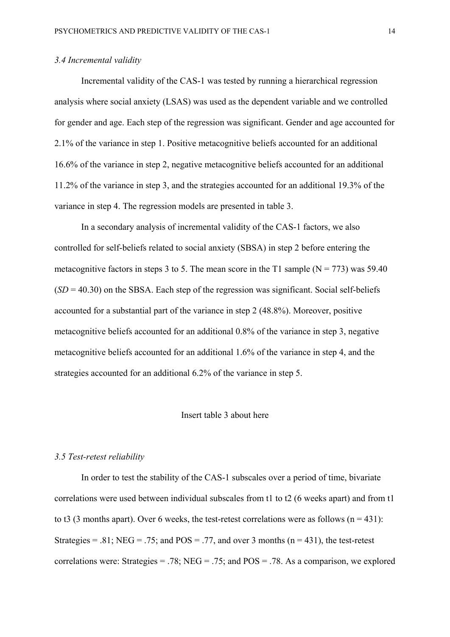# *3.4 Incremental validity*

Incremental validity of the CAS-1 was tested by running a hierarchical regression analysis where social anxiety (LSAS) was used as the dependent variable and we controlled for gender and age. Each step of the regression was significant. Gender and age accounted for 2.1% of the variance in step 1. Positive metacognitive beliefs accounted for an additional 16.6% of the variance in step 2, negative metacognitive beliefs accounted for an additional 11.2% of the variance in step 3, and the strategies accounted for an additional 19.3% of the variance in step 4. The regression models are presented in table 3.

In a secondary analysis of incremental validity of the CAS-1 factors, we also controlled for self-beliefs related to social anxiety (SBSA) in step 2 before entering the metacognitive factors in steps 3 to 5. The mean score in the T1 sample  $(N = 773)$  was 59.40  $(SD = 40.30)$  on the SBSA. Each step of the regression was significant. Social self-beliefs accounted for a substantial part of the variance in step 2 (48.8%). Moreover, positive metacognitive beliefs accounted for an additional 0.8% of the variance in step 3, negative metacognitive beliefs accounted for an additional 1.6% of the variance in step 4, and the strategies accounted for an additional 6.2% of the variance in step 5.

### Insert table 3 about here

#### *3.5 Test-retest reliability*

In order to test the stability of the CAS-1 subscales over a period of time, bivariate correlations were used between individual subscales from t1 to t2 (6 weeks apart) and from t1 to t3 (3 months apart). Over 6 weeks, the test-retest correlations were as follows ( $n = 431$ ): Strategies = .81; NEG = .75; and POS = .77, and over 3 months ( $n = 431$ ), the test-retest correlations were: Strategies = .78; NEG = .75; and  $POS = .78$ . As a comparison, we explored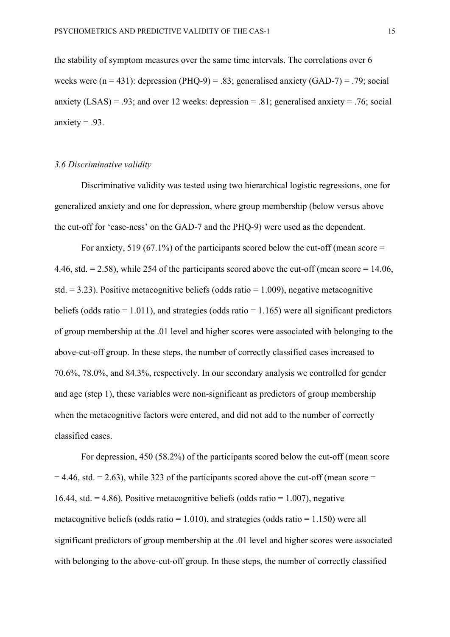the stability of symptom measures over the same time intervals. The correlations over 6 weeks were  $(n = 431)$ : depression (PHO-9) = .83; generalised anxiety (GAD-7) = .79; social anxiety (LSAS) = .93; and over 12 weeks: depression = .81; generalised anxiety = .76; social anxiety  $= .93$ .

### *3.6 Discriminative validity*

Discriminative validity was tested using two hierarchical logistic regressions, one for generalized anxiety and one for depression, where group membership (below versus above the cut-off for 'case-ness' on the GAD-7 and the PHQ-9) were used as the dependent.

For anxiety, 519 (67.1%) of the participants scored below the cut-off (mean score  $=$ 4.46, std.  $= 2.58$ ), while 254 of the participants scored above the cut-off (mean score  $= 14.06$ , std.  $= 3.23$ ). Positive metacognitive beliefs (odds ratio  $= 1.009$ ), negative metacognitive beliefs (odds ratio = 1.011), and strategies (odds ratio = 1.165) were all significant predictors of group membership at the .01 level and higher scores were associated with belonging to the above-cut-off group. In these steps, the number of correctly classified cases increased to 70.6%, 78.0%, and 84.3%, respectively. In our secondary analysis we controlled for gender and age (step 1), these variables were non-significant as predictors of group membership when the metacognitive factors were entered, and did not add to the number of correctly classified cases.

For depression, 450 (58.2%) of the participants scored below the cut-off (mean score  $= 4.46$ , std.  $= 2.63$ ), while 323 of the participants scored above the cut-off (mean score  $=$ 16.44, std.  $= 4.86$ ). Positive metacognitive beliefs (odds ratio  $= 1.007$ ), negative metacognitive beliefs (odds ratio =  $1.010$ ), and strategies (odds ratio =  $1.150$ ) were all significant predictors of group membership at the .01 level and higher scores were associated with belonging to the above-cut-off group. In these steps, the number of correctly classified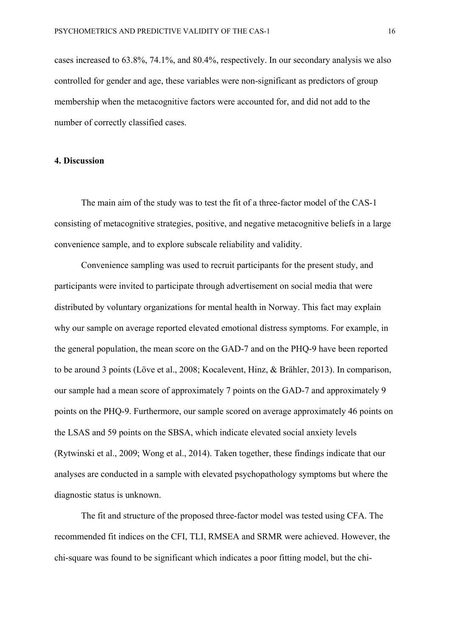cases increased to 63.8%, 74.1%, and 80.4%, respectively. In our secondary analysis we also controlled for gender and age, these variables were non-significant as predictors of group membership when the metacognitive factors were accounted for, and did not add to the number of correctly classified cases.

## **4. Discussion**

The main aim of the study was to test the fit of a three-factor model of the CAS-1 consisting of metacognitive strategies, positive, and negative metacognitive beliefs in a large convenience sample, and to explore subscale reliability and validity.

Convenience sampling was used to recruit participants for the present study, and participants were invited to participate through advertisement on social media that were distributed by voluntary organizations for mental health in Norway. This fact may explain why our sample on average reported elevated emotional distress symptoms. For example, in the general population, the mean score on the GAD-7 and on the PHQ-9 have been reported to be around 3 points (Löve et al., 2008; Kocalevent, Hinz, & Brähler, 2013). In comparison, our sample had a mean score of approximately 7 points on the GAD-7 and approximately 9 points on the PHQ-9. Furthermore, our sample scored on average approximately 46 points on the LSAS and 59 points on the SBSA, which indicate elevated social anxiety levels (Rytwinski et al., 2009; Wong et al., 2014). Taken together, these findings indicate that our analyses are conducted in a sample with elevated psychopathology symptoms but where the diagnostic status is unknown.

The fit and structure of the proposed three-factor model was tested using CFA. The recommended fit indices on the CFI, TLI, RMSEA and SRMR were achieved. However, the chi-square was found to be significant which indicates a poor fitting model, but the chi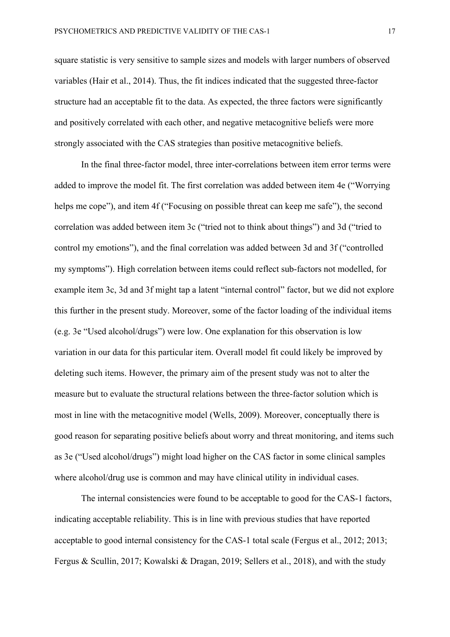square statistic is very sensitive to sample sizes and models with larger numbers of observed variables (Hair et al., 2014). Thus, the fit indices indicated that the suggested three-factor structure had an acceptable fit to the data. As expected, the three factors were significantly and positively correlated with each other, and negative metacognitive beliefs were more strongly associated with the CAS strategies than positive metacognitive beliefs.

In the final three-factor model, three inter-correlations between item error terms were added to improve the model fit. The first correlation was added between item 4e ("Worrying helps me cope"), and item 4f ("Focusing on possible threat can keep me safe"), the second correlation was added between item 3c ("tried not to think about things") and 3d ("tried to control my emotions"), and the final correlation was added between 3d and 3f ("controlled my symptoms"). High correlation between items could reflect sub-factors not modelled, for example item 3c, 3d and 3f might tap a latent "internal control" factor, but we did not explore this further in the present study. Moreover, some of the factor loading of the individual items (e.g. 3e "Used alcohol/drugs") were low. One explanation for this observation is low variation in our data for this particular item. Overall model fit could likely be improved by deleting such items. However, the primary aim of the present study was not to alter the measure but to evaluate the structural relations between the three-factor solution which is most in line with the metacognitive model (Wells, 2009). Moreover, conceptually there is good reason for separating positive beliefs about worry and threat monitoring, and items such as 3e ("Used alcohol/drugs") might load higher on the CAS factor in some clinical samples where alcohol/drug use is common and may have clinical utility in individual cases.

The internal consistencies were found to be acceptable to good for the CAS-1 factors, indicating acceptable reliability. This is in line with previous studies that have reported acceptable to good internal consistency for the CAS-1 total scale (Fergus et al., 2012; 2013; Fergus & Scullin, 2017; Kowalski & Dragan, 2019; Sellers et al., 2018), and with the study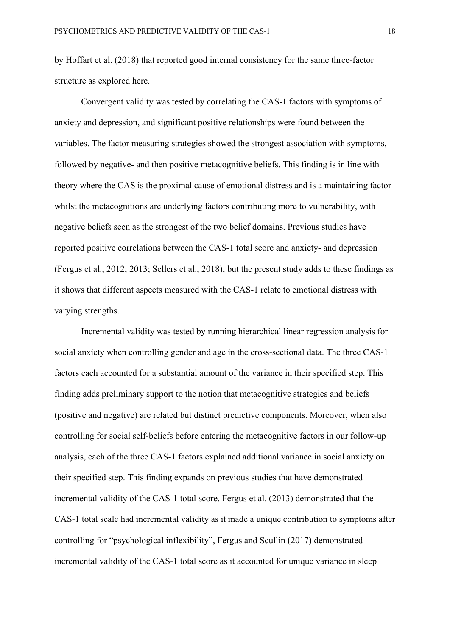by Hoffart et al. (2018) that reported good internal consistency for the same three-factor structure as explored here.

Convergent validity was tested by correlating the CAS-1 factors with symptoms of anxiety and depression, and significant positive relationships were found between the variables. The factor measuring strategies showed the strongest association with symptoms, followed by negative- and then positive metacognitive beliefs. This finding is in line with theory where the CAS is the proximal cause of emotional distress and is a maintaining factor whilst the metacognitions are underlying factors contributing more to vulnerability, with negative beliefs seen as the strongest of the two belief domains. Previous studies have reported positive correlations between the CAS-1 total score and anxiety- and depression (Fergus et al., 2012; 2013; Sellers et al., 2018), but the present study adds to these findings as it shows that different aspects measured with the CAS-1 relate to emotional distress with varying strengths.

Incremental validity was tested by running hierarchical linear regression analysis for social anxiety when controlling gender and age in the cross-sectional data. The three CAS-1 factors each accounted for a substantial amount of the variance in their specified step. This finding adds preliminary support to the notion that metacognitive strategies and beliefs (positive and negative) are related but distinct predictive components. Moreover, when also controlling for social self-beliefs before entering the metacognitive factors in our follow-up analysis, each of the three CAS-1 factors explained additional variance in social anxiety on their specified step. This finding expands on previous studies that have demonstrated incremental validity of the CAS-1 total score. Fergus et al. (2013) demonstrated that the CAS-1 total scale had incremental validity as it made a unique contribution to symptoms after controlling for "psychological inflexibility", Fergus and Scullin (2017) demonstrated incremental validity of the CAS-1 total score as it accounted for unique variance in sleep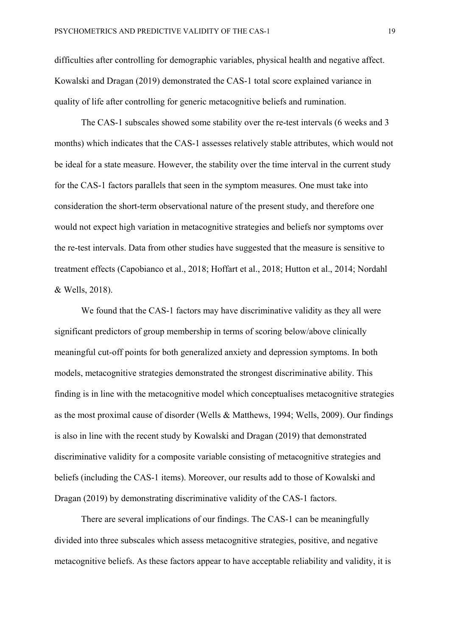difficulties after controlling for demographic variables, physical health and negative affect. Kowalski and Dragan (2019) demonstrated the CAS-1 total score explained variance in quality of life after controlling for generic metacognitive beliefs and rumination.

The CAS-1 subscales showed some stability over the re-test intervals (6 weeks and 3 months) which indicates that the CAS-1 assesses relatively stable attributes, which would not be ideal for a state measure. However, the stability over the time interval in the current study for the CAS-1 factors parallels that seen in the symptom measures. One must take into consideration the short-term observational nature of the present study, and therefore one would not expect high variation in metacognitive strategies and beliefs nor symptoms over the re-test intervals. Data from other studies have suggested that the measure is sensitive to treatment effects (Capobianco et al., 2018; Hoffart et al., 2018; Hutton et al., 2014; Nordahl & Wells, 2018).

We found that the CAS-1 factors may have discriminative validity as they all were significant predictors of group membership in terms of scoring below/above clinically meaningful cut-off points for both generalized anxiety and depression symptoms. In both models, metacognitive strategies demonstrated the strongest discriminative ability. This finding is in line with the metacognitive model which conceptualises metacognitive strategies as the most proximal cause of disorder (Wells & Matthews, 1994; Wells, 2009). Our findings is also in line with the recent study by Kowalski and Dragan (2019) that demonstrated discriminative validity for a composite variable consisting of metacognitive strategies and beliefs (including the CAS-1 items). Moreover, our results add to those of Kowalski and Dragan (2019) by demonstrating discriminative validity of the CAS-1 factors.

There are several implications of our findings. The CAS-1 can be meaningfully divided into three subscales which assess metacognitive strategies, positive, and negative metacognitive beliefs. As these factors appear to have acceptable reliability and validity, it is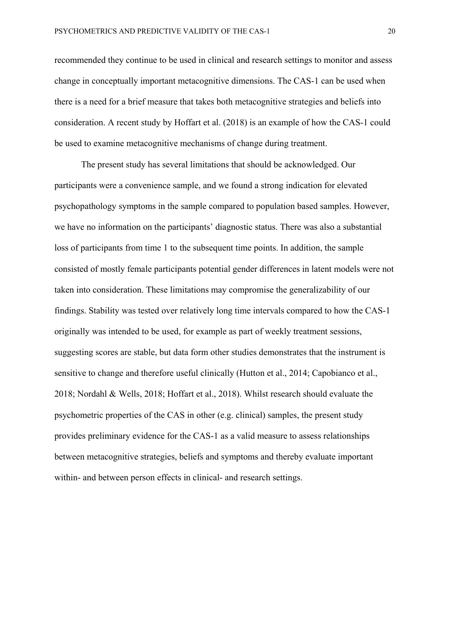recommended they continue to be used in clinical and research settings to monitor and assess change in conceptually important metacognitive dimensions. The CAS-1 can be used when there is a need for a brief measure that takes both metacognitive strategies and beliefs into consideration. A recent study by Hoffart et al. (2018) is an example of how the CAS-1 could be used to examine metacognitive mechanisms of change during treatment.

The present study has several limitations that should be acknowledged. Our participants were a convenience sample, and we found a strong indication for elevated psychopathology symptoms in the sample compared to population based samples. However, we have no information on the participants' diagnostic status. There was also a substantial loss of participants from time 1 to the subsequent time points. In addition, the sample consisted of mostly female participants potential gender differences in latent models were not taken into consideration. These limitations may compromise the generalizability of our findings. Stability was tested over relatively long time intervals compared to how the CAS-1 originally was intended to be used, for example as part of weekly treatment sessions, suggesting scores are stable, but data form other studies demonstrates that the instrument is sensitive to change and therefore useful clinically (Hutton et al., 2014; Capobianco et al., 2018; Nordahl & Wells, 2018; Hoffart et al., 2018). Whilst research should evaluate the psychometric properties of the CAS in other (e.g. clinical) samples, the present study provides preliminary evidence for the CAS-1 as a valid measure to assess relationships between metacognitive strategies, beliefs and symptoms and thereby evaluate important within- and between person effects in clinical- and research settings.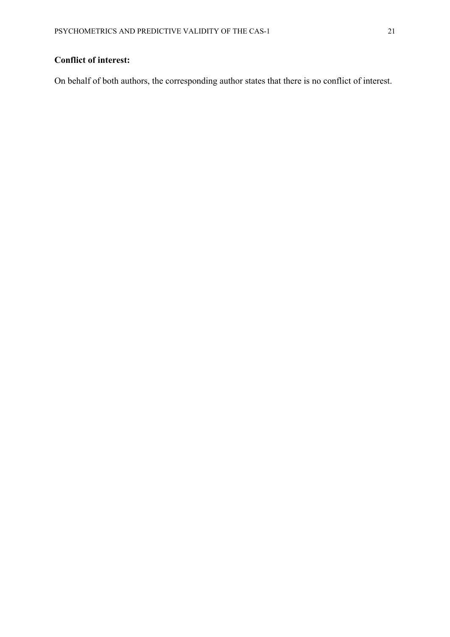# **Conflict of interest:**

On behalf of both authors, the corresponding author states that there is no conflict of interest.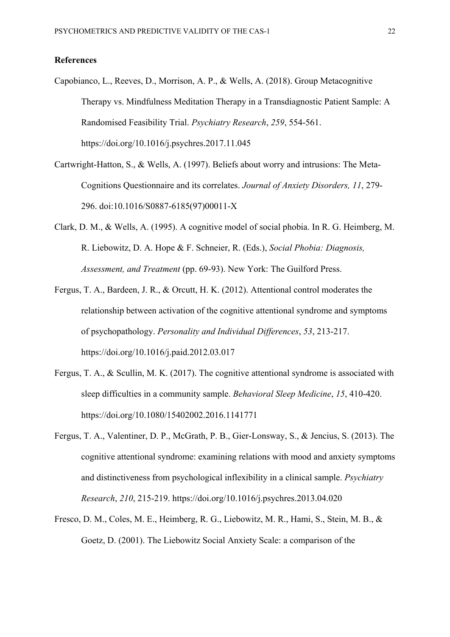### **References**

- Capobianco, L., Reeves, D., Morrison, A. P., & Wells, A. (2018). Group Metacognitive Therapy vs. Mindfulness Meditation Therapy in a Transdiagnostic Patient Sample: A Randomised Feasibility Trial. *Psychiatry Research*, *259*, 554-561. https://doi.org/10.1016/j.psychres.2017.11.045
- Cartwright-Hatton, S., & Wells, A. (1997). Beliefs about worry and intrusions: The Meta-Cognitions Questionnaire and its correlates. *Journal of Anxiety Disorders, 11*, 279- 296. doi:10.1016/S0887-6185(97)00011-X
- Clark, D. M., & Wells, A. (1995). A cognitive model of social phobia. In R. G. Heimberg, M. R. Liebowitz, D. A. Hope & F. Schneier, R. (Eds.), *Social Phobia: Diagnosis, Assessment, and Treatment* (pp. 69-93). New York: The Guilford Press.
- Fergus, T. A., Bardeen, J. R., & Orcutt, H. K. (2012). Attentional control moderates the relationship between activation of the cognitive attentional syndrome and symptoms of psychopathology. *Personality and Individual Differences*, *53*, 213-217. https://doi.org/10.1016/j.paid.2012.03.017
- Fergus, T. A., & Scullin, M. K. (2017). The cognitive attentional syndrome is associated with sleep difficulties in a community sample. *Behavioral Sleep Medicine*, *15*, 410-420. https://doi.org/10.1080/15402002.2016.1141771
- Fergus, T. A., Valentiner, D. P., McGrath, P. B., Gier-Lonsway, S., & Jencius, S. (2013). The cognitive attentional syndrome: examining relations with mood and anxiety symptoms and distinctiveness from psychological inflexibility in a clinical sample. *Psychiatry Research*, *210*, 215-219. https://doi.org/10.1016/j.psychres.2013.04.020
- Fresco, D. M., Coles, M. E., Heimberg, R. G., Liebowitz, M. R., Hami, S., Stein, M. B., & Goetz, D. (2001). The Liebowitz Social Anxiety Scale: a comparison of the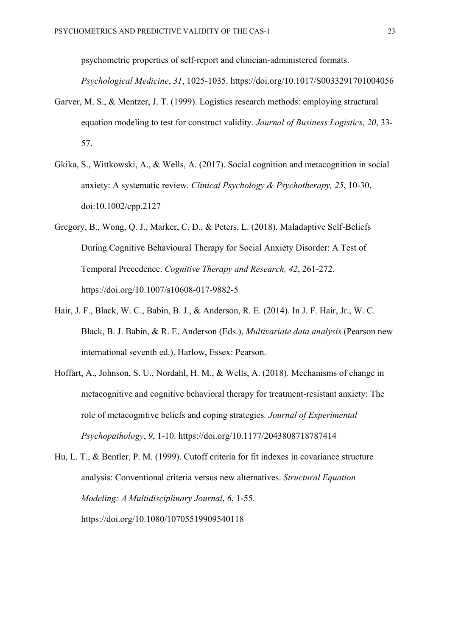psychometric properties of self-report and clinician-administered formats.

*Psychological Medicine*, *31*, 1025-1035. https://doi.org/10.1017/S0033291701004056

- Garver, M. S., & Mentzer, J. T. (1999). Logistics research methods: employing structural equation modeling to test for construct validity. *Journal of Business Logistics*, *20*, 33- 57.
- Gkika, S., Wittkowski, A., & Wells, A. (2017). Social cognition and metacognition in social anxiety: A systematic review. *Clinical Psychology & Psychotherapy, 25*, 10-30. doi:10.1002/cpp.2127
- Gregory, B., Wong, Q. J., Marker, C. D., & Peters, L. (2018). Maladaptive Self-Beliefs During Cognitive Behavioural Therapy for Social Anxiety Disorder: A Test of Temporal Precedence. *Cognitive Therapy and Research, 42*, 261-272. https://doi.org/10.1007/s10608-017-9882-5
- Hair, J. F., Black, W. C., Babin, B. J., & Anderson, R. E. (2014). In J. F. Hair, Jr., W. C. Black, B. J. Babin, & R. E. Anderson (Eds.), *Multivariate data analysis* (Pearson new international seventh ed.). Harlow, Essex: Pearson.
- Hoffart, A., Johnson, S. U., Nordahl, H. M., & Wells, A. (2018). Mechanisms of change in metacognitive and cognitive behavioral therapy for treatment-resistant anxiety: The role of metacognitive beliefs and coping strategies. *Journal of Experimental Psychopathology*, *9*, 1-10. https://doi.org/10.1177/2043808718787414
- Hu, L. T., & Bentler, P. M. (1999). Cutoff criteria for fit indexes in covariance structure analysis: Conventional criteria versus new alternatives. *Structural Equation Modeling: A Multidisciplinary Journal*, *6*, 1-55. https://doi.org/10.1080/10705519909540118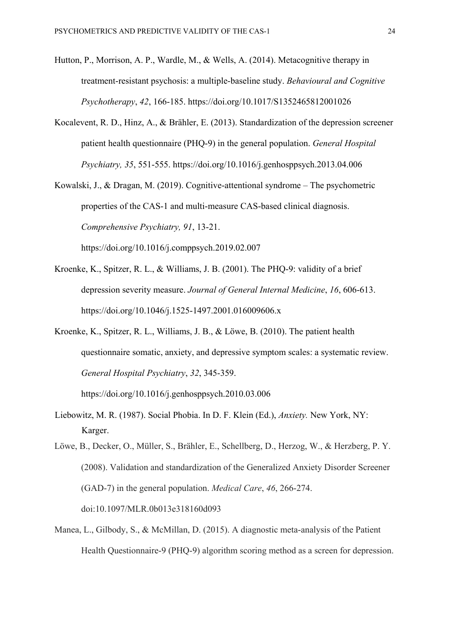- Hutton, P., Morrison, A. P., Wardle, M., & Wells, A. (2014). Metacognitive therapy in treatment-resistant psychosis: a multiple-baseline study. *Behavioural and Cognitive Psychotherapy*, *42*, 166-185. https://doi.org/10.1017/S1352465812001026
- Kocalevent, R. D., Hinz, A., & Brähler, E. (2013). Standardization of the depression screener patient health questionnaire (PHQ-9) in the general population. *General Hospital Psychiatry, 35*, 551-555. https://doi.org/10.1016/j.genhosppsych.2013.04.006
- Kowalski, J., & Dragan, M. (2019). Cognitive-attentional syndrome The psychometric properties of the CAS-1 and multi-measure CAS-based clinical diagnosis. *Comprehensive Psychiatry, 91*, 13-21. https://doi.org/10.1016/j.comppsych.2019.02.007
- Kroenke, K., Spitzer, R. L., & Williams, J. B. (2001). The PHQ‐9: validity of a brief depression severity measure. *Journal of General Internal Medicine*, *16*, 606-613. https://doi.org/10.1046/j.1525-1497.2001.016009606.x
- Kroenke, K., Spitzer, R. L., Williams, J. B., & Löwe, B. (2010). The patient health questionnaire somatic, anxiety, and depressive symptom scales: a systematic review. *General Hospital Psychiatry*, *32*, 345-359.

https://doi.org/10.1016/j.genhosppsych.2010.03.006

Liebowitz, M. R. (1987). Social Phobia. In D. F. Klein (Ed.), *Anxiety.* New York, NY: Karger.

Löwe, B., Decker, O., Müller, S., Brähler, E., Schellberg, D., Herzog, W., & Herzberg, P. Y. (2008). Validation and standardization of the Generalized Anxiety Disorder Screener (GAD-7) in the general population. *Medical Care*, *46*, 266-274. doi:10.1097/MLR.0b013e318160d093

Manea, L., Gilbody, S., & McMillan, D. (2015). A diagnostic meta-analysis of the Patient Health Questionnaire-9 (PHQ-9) algorithm scoring method as a screen for depression.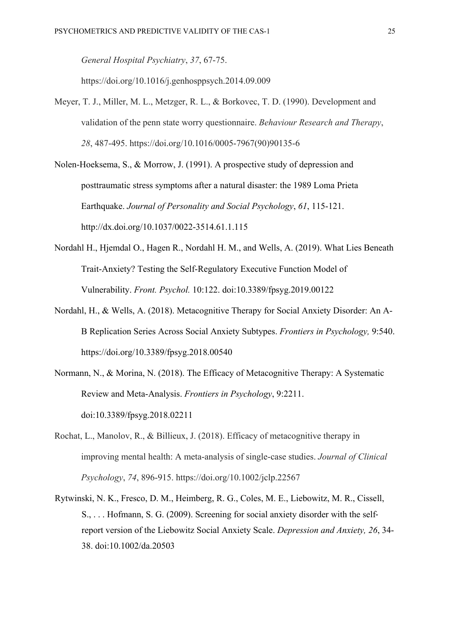*General Hospital Psychiatry*, *37*, 67-75.

https://doi.org/10.1016/j.genhosppsych.2014.09.009

Meyer, T. J., Miller, M. L., Metzger, R. L., & Borkovec, T. D. (1990). Development and validation of the penn state worry questionnaire. *Behaviour Research and Therapy*, *28*, 487-495. https://doi.org/10.1016/0005-7967(90)90135-6

Nolen-Hoeksema, S., & Morrow, J. (1991). A prospective study of depression and posttraumatic stress symptoms after a natural disaster: the 1989 Loma Prieta Earthquake. *Journal of Personality and Social Psychology*, *61*, 115-121. http://dx.doi.org/10.1037/0022-3514.61.1.115

- Nordahl H., Hjemdal O., Hagen R., Nordahl H. M., and Wells, A. (2019). What Lies Beneath Trait-Anxiety? Testing the Self-Regulatory Executive Function Model of Vulnerability. *Front. Psychol.* 10:122. doi:10.3389/fpsyg.2019.00122
- Nordahl, H., & Wells, A. (2018). Metacognitive Therapy for Social Anxiety Disorder: An A-B Replication Series Across Social Anxiety Subtypes. *Frontiers in Psychology,* 9:540. https://doi.org/10.3389/fpsyg.2018.00540
- Normann, N., & Morina, N. (2018). The Efficacy of Metacognitive Therapy: A Systematic Review and Meta-Analysis. *Frontiers in Psychology*, 9:2211. doi:10.3389/fpsyg.2018.02211
- Rochat, L., Manolov, R., & Billieux, J. (2018). Efficacy of metacognitive therapy in improving mental health: A meta‐analysis of single‐case studies. *Journal of Clinical Psychology*, *74*, 896-915. https://doi.org/10.1002/jclp.22567
- Rytwinski, N. K., Fresco, D. M., Heimberg, R. G., Coles, M. E., Liebowitz, M. R., Cissell, S., . . . Hofmann, S. G. (2009). Screening for social anxiety disorder with the self‐ report version of the Liebowitz Social Anxiety Scale. *Depression and Anxiety, 26*, 34- 38. doi:10.1002/da.20503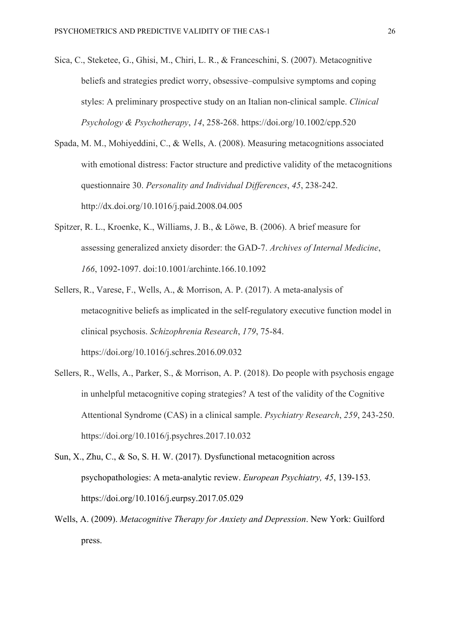- Sica, C., Steketee, G., Ghisi, M., Chiri, L. R., & Franceschini, S. (2007). Metacognitive beliefs and strategies predict worry, obsessive–compulsive symptoms and coping styles: A preliminary prospective study on an Italian non‐clinical sample. *Clinical Psychology & Psychotherapy*, *14*, 258-268. https://doi.org/10.1002/cpp.520
- Spada, M. M., Mohiyeddini, C., & Wells, A. (2008). Measuring metacognitions associated with emotional distress: Factor structure and predictive validity of the metacognitions questionnaire 30. *Personality and Individual Differences*, *45*, 238-242. http://dx.doi.org/10.1016/j.paid.2008.04.005
- Spitzer, R. L., Kroenke, K., Williams, J. B., & Löwe, B. (2006). A brief measure for assessing generalized anxiety disorder: the GAD-7. *Archives of Internal Medicine*, *166*, 1092-1097. doi:10.1001/archinte.166.10.1092
- Sellers, R., Varese, F., Wells, A., & Morrison, A. P. (2017). A meta-analysis of metacognitive beliefs as implicated in the self-regulatory executive function model in clinical psychosis. *Schizophrenia Research*, *179*, 75-84. https://doi.org/10.1016/j.schres.2016.09.032
- Sellers, R., Wells, A., Parker, S., & Morrison, A. P. (2018). Do people with psychosis engage in unhelpful metacognitive coping strategies? A test of the validity of the Cognitive Attentional Syndrome (CAS) in a clinical sample. *Psychiatry Research*, *259*, 243-250. https://doi.org/10.1016/j.psychres.2017.10.032
- Sun, X., Zhu, C., & So, S. H. W. (2017). Dysfunctional metacognition across psychopathologies: A meta-analytic review. *European Psychiatry, 45*, 139-153. https://doi.org/10.1016/j.eurpsy.2017.05.029
- Wells, A. (2009). *Metacognitive Therapy for Anxiety and Depression*. New York: Guilford press.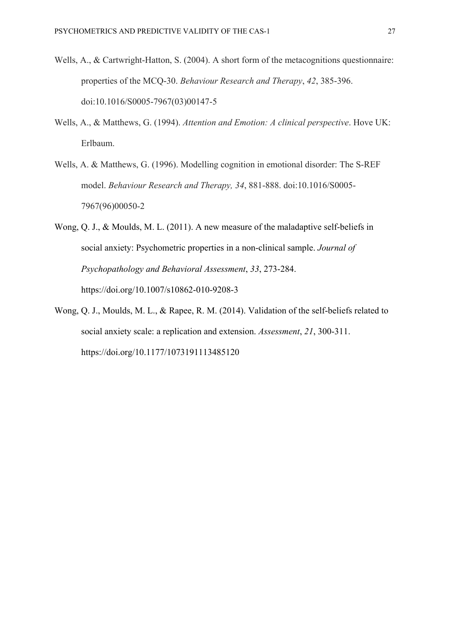- Wells, A., & Cartwright-Hatton, S. (2004). A short form of the metacognitions questionnaire: properties of the MCQ-30. *Behaviour Research and Therapy*, *42*, 385-396. doi:10.1016/S0005-7967(03)00147-5
- Wells, A., & Matthews, G. (1994). *Attention and Emotion: A clinical perspective*. Hove UK: Erlbaum.
- Wells, A. & Matthews, G. (1996). Modelling cognition in emotional disorder: The S-REF model. *Behaviour Research and Therapy, 34*, 881-888. doi:10.1016/S0005- 7967(96)00050-2
- Wong, Q. J., & Moulds, M. L. (2011). A new measure of the maladaptive self-beliefs in social anxiety: Psychometric properties in a non-clinical sample. *Journal of Psychopathology and Behavioral Assessment*, *33*, 273-284. https://doi.org/10.1007/s10862-010-9208-3
- Wong, Q. J., Moulds, M. L., & Rapee, R. M. (2014). Validation of the self-beliefs related to social anxiety scale: a replication and extension. *Assessment*, *21*, 300-311. https://doi.org/10.1177/1073191113485120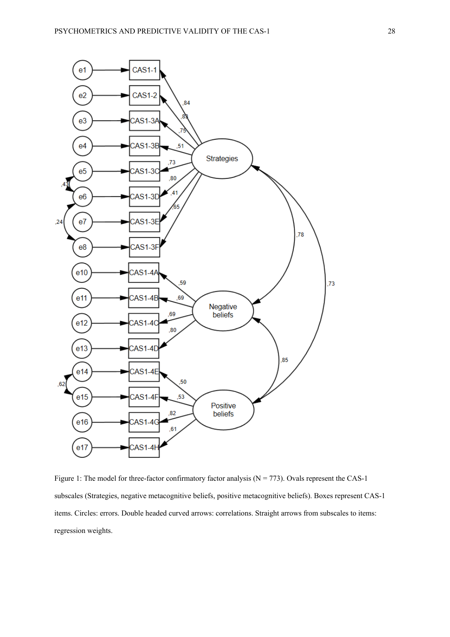

Figure 1: The model for three-factor confirmatory factor analysis ( $N = 773$ ). Ovals represent the CAS-1 subscales (Strategies, negative metacognitive beliefs, positive metacognitive beliefs). Boxes represent CAS-1 items. Circles: errors. Double headed curved arrows: correlations. Straight arrows from subscales to items: regression weights.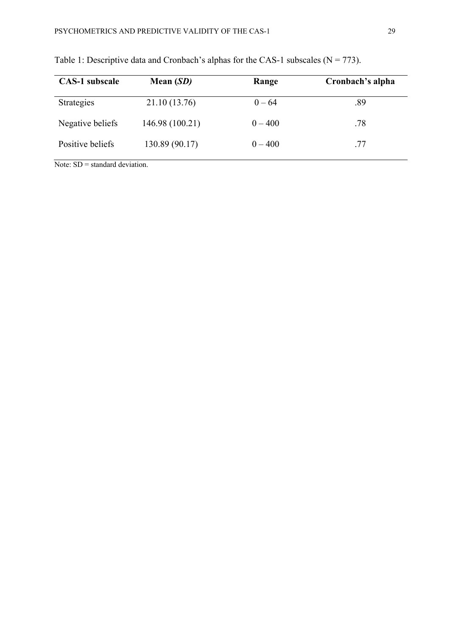| <b>CAS-1</b> subscale | Mean $(SD)$     | Range     | Cronbach's alpha |
|-----------------------|-----------------|-----------|------------------|
| <b>Strategies</b>     | 21.10 (13.76)   | $0 - 64$  | .89              |
| Negative beliefs      | 146.98 (100.21) | $0 - 400$ | .78              |
| Positive beliefs      | 130.89 (90.17)  | $0 - 400$ | .77              |

Table 1: Descriptive data and Cronbach's alphas for the CAS-1 subscales ( $N = 773$ ).

Note: SD = standard deviation.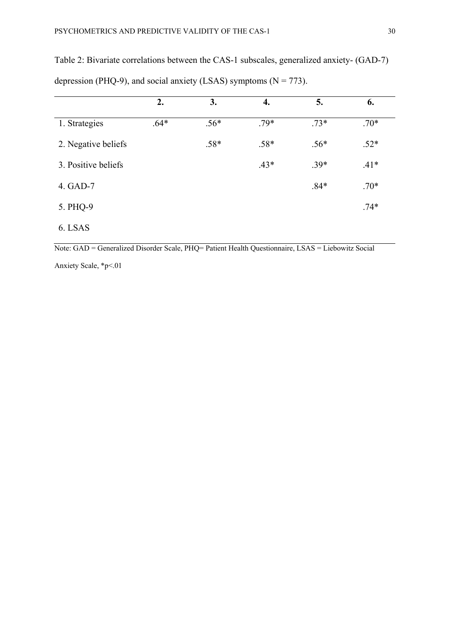|                     | 2.     | 3.     | 4.     | 5.     | 6.     |
|---------------------|--------|--------|--------|--------|--------|
| 1. Strategies       | $.64*$ | $.56*$ | $.79*$ | $.73*$ | $.70*$ |
| 2. Negative beliefs |        | $.58*$ | $.58*$ | $.56*$ | $.52*$ |
| 3. Positive beliefs |        |        | $.43*$ | $.39*$ | $.41*$ |
| 4. GAD-7            |        |        |        | $.84*$ | $.70*$ |
| 5. PHQ-9            |        |        |        |        | $.74*$ |
| 6. LSAS             |        |        |        |        |        |

Table 2: Bivariate correlations between the CAS-1 subscales, generalized anxiety- (GAD-7) depression (PHQ-9), and social anxiety (LSAS) symptoms ( $N = 773$ ).

Note: GAD = Generalized Disorder Scale, PHQ= Patient Health Questionnaire, LSAS = Liebowitz Social

Anxiety Scale, \*p<.01